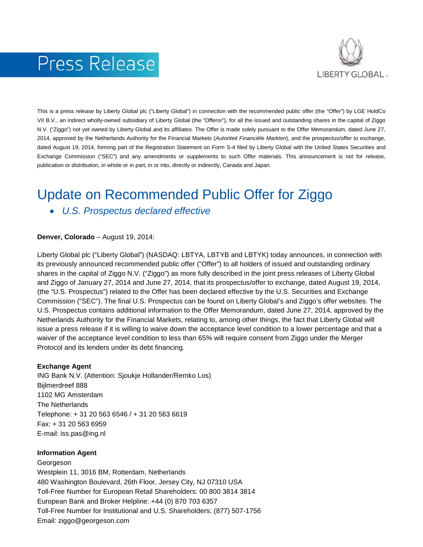# Press Release



This is a press release by Liberty Global plc ("Liberty Global") in connection with the recommended public offer (the "Offer") by LGE HoldCo VII B.V., an indirect wholly-owned subsidiary of Liberty Global (the "Offeror"), for all the issued and outstanding shares in the capital of Ziggo N.V. ("Ziggo") not yet owned by Liberty Global and its affiliates. The Offer is made solely pursuant to the Offer Memorandum, dated June 27, 2014, approved by the Netherlands Authority for the Financial Markets (*Autoriteit Financiële Markten*), and the prospectus/offer to exchange, dated August 19, 2014, forming part of the Registration Statement on Form S-4 filed by Liberty Global with the United States Securities and Exchange Commission ("SEC") and any amendments or supplements to such Offer materials. This announcement is not for release, publication or distribution, in whole or in part, in or into, directly or indirectly, Canada and Japan.

## Update on Recommended Public Offer for Ziggo

• *U.S. Prospectus declared effective*

**Denver, Colorado** – August 19, 2014:

Liberty Global plc ("Liberty Global") (NASDAQ: LBTYA, LBTYB and LBTYK) today announces, in connection with its previously announced recommended public offer ("Offer") to all holders of issued and outstanding ordinary shares in the capital of Ziggo N.V. ("Ziggo") as more fully described in the joint press releases of Liberty Global and Ziggo of January 27, 2014 and June 27, 2014, that its prospectus/offer to exchange, dated August 19, 2014, (the "U.S. Prospectus") related to the Offer has been declared effective by the U.S. Securities and Exchange Commission ("SEC"). The final U.S. Prospectus can be found on Liberty Global's and Ziggo's offer websites. The U.S. Prospectus contains additional information to the Offer Memorandum, dated June 27, 2014, approved by the Netherlands Authority for the Financial Markets, relating to, among other things, the fact that Liberty Global will issue a press release if it is willing to waive down the acceptance level condition to a lower percentage and that a waiver of the acceptance level condition to less than 65% will require consent from Ziggo under the Merger Protocol and its lenders under its debt financing.

#### **Exchange Agent**

ING Bank N.V. (Attention: Sjoukje Hollander/Remko Los) Bijlmerdreef 888 1102 MG Amsterdam The Netherlands Telephone: + 31 20 563 6546 / + 31 20 563 6619 Fax: + 31 20 563 6959 E-mail: iss.pas@ing.nl

#### **Information Agent**

Georgeson Westplein 11, 3016 BM, Rotterdam, Netherlands 480 Washington Boulevard, 26th Floor, Jersey City, NJ 07310 USA Toll-Free Number for European Retail Shareholders: 00 800 3814 3814 European Bank and Broker Helpline: +44 (0) 870 703 6357 Toll-Free Number for Institutional and U.S. Shareholders: (877) 507-1756 Email: ziggo@georgeson.com